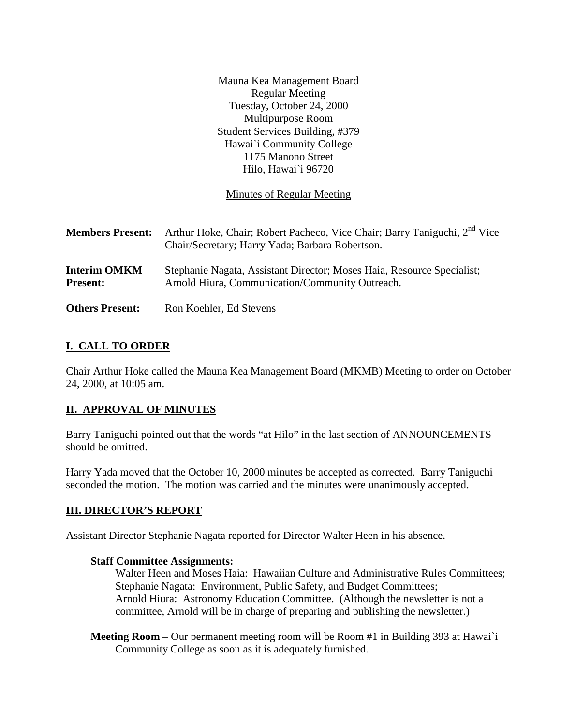Mauna Kea Management Board Regular Meeting Tuesday, October 24, 2000 Multipurpose Room Student Services Building, #379 Hawai`i Community College 1175 Manono Street Hilo, Hawai`i 96720

Minutes of Regular Meeting

| <b>Members Present:</b>                | Arthur Hoke, Chair; Robert Pacheco, Vice Chair; Barry Taniguchi, 2 <sup>nd</sup> Vice<br>Chair/Secretary; Harry Yada; Barbara Robertson. |
|----------------------------------------|------------------------------------------------------------------------------------------------------------------------------------------|
| <b>Interim OMKM</b><br><b>Present:</b> | Stephanie Nagata, Assistant Director; Moses Haia, Resource Specialist;<br>Arnold Hiura, Communication/Community Outreach.                |
| <b>Others Present:</b>                 | Ron Koehler, Ed Stevens                                                                                                                  |

## **I. CALL TO ORDER**

Chair Arthur Hoke called the Mauna Kea Management Board (MKMB) Meeting to order on October 24, 2000, at 10:05 am.

## **II. APPROVAL OF MINUTES**

Barry Taniguchi pointed out that the words "at Hilo" in the last section of ANNOUNCEMENTS should be omitted.

Harry Yada moved that the October 10, 2000 minutes be accepted as corrected. Barry Taniguchi seconded the motion. The motion was carried and the minutes were unanimously accepted.

## **III. DIRECTOR'S REPORT**

Assistant Director Stephanie Nagata reported for Director Walter Heen in his absence.

#### **Staff Committee Assignments:**

Walter Heen and Moses Haia: Hawaiian Culture and Administrative Rules Committees; Stephanie Nagata: Environment, Public Safety, and Budget Committees; Arnold Hiura: Astronomy Education Committee. (Although the newsletter is not a committee, Arnold will be in charge of preparing and publishing the newsletter.)

**Meeting Room** – Our permanent meeting room will be Room #1 in Building 393 at Hawai`i Community College as soon as it is adequately furnished.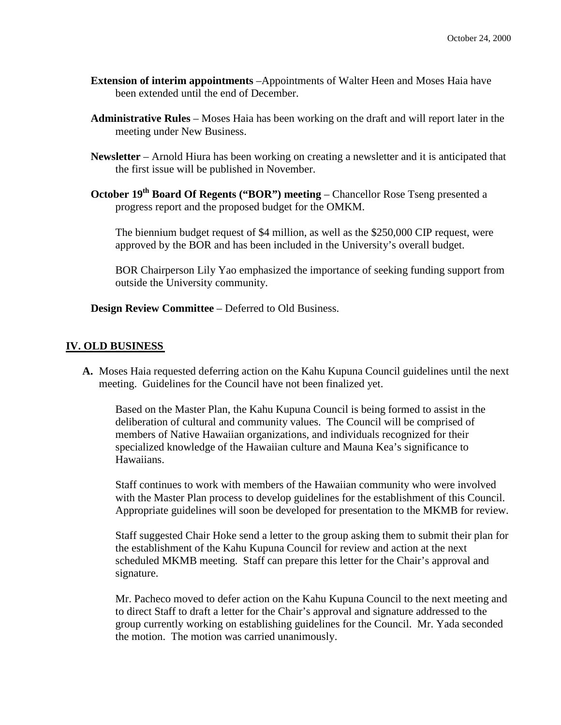- **Extension of interim appointments** –Appointments of Walter Heen and Moses Haia have been extended until the end of December.
- **Administrative Rules** Moses Haia has been working on the draft and will report later in the meeting under New Business.
- **Newsletter**  Arnold Hiura has been working on creating a newsletter and it is anticipated that the first issue will be published in November.
- **October 19<sup>th</sup> Board Of Regents ("BOR") meeting** Chancellor Rose Tseng presented a progress report and the proposed budget for the OMKM.

The biennium budget request of \$4 million, as well as the \$250,000 CIP request, were approved by the BOR and has been included in the University's overall budget.

BOR Chairperson Lily Yao emphasized the importance of seeking funding support from outside the University community.

**Design Review Committee** – Deferred to Old Business.

### **IV. OLD BUSINESS**

**A.** Moses Haia requested deferring action on the Kahu Kupuna Council guidelines until the next meeting. Guidelines for the Council have not been finalized yet.

Based on the Master Plan, the Kahu Kupuna Council is being formed to assist in the deliberation of cultural and community values. The Council will be comprised of members of Native Hawaiian organizations, and individuals recognized for their specialized knowledge of the Hawaiian culture and Mauna Kea's significance to Hawaiians.

Staff continues to work with members of the Hawaiian community who were involved with the Master Plan process to develop guidelines for the establishment of this Council. Appropriate guidelines will soon be developed for presentation to the MKMB for review.

Staff suggested Chair Hoke send a letter to the group asking them to submit their plan for the establishment of the Kahu Kupuna Council for review and action at the next scheduled MKMB meeting. Staff can prepare this letter for the Chair's approval and signature.

Mr. Pacheco moved to defer action on the Kahu Kupuna Council to the next meeting and to direct Staff to draft a letter for the Chair's approval and signature addressed to the group currently working on establishing guidelines for the Council. Mr. Yada seconded the motion. The motion was carried unanimously.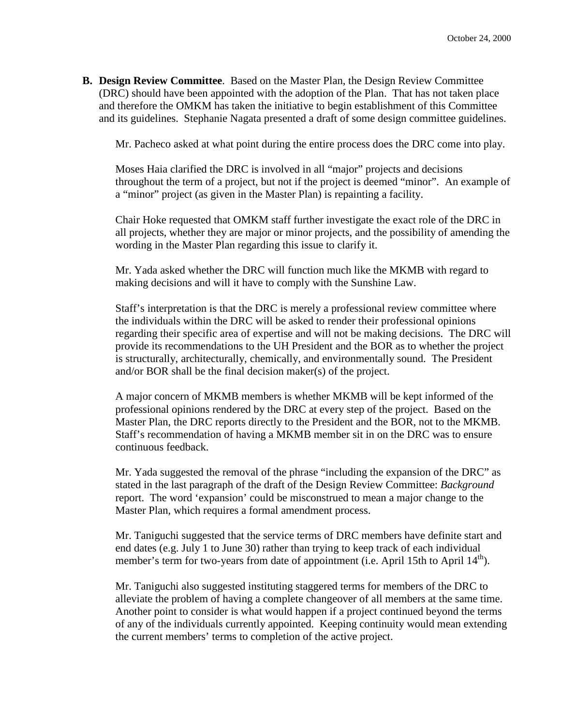**B. Design Review Committee**. Based on the Master Plan, the Design Review Committee (DRC) should have been appointed with the adoption of the Plan. That has not taken place and therefore the OMKM has taken the initiative to begin establishment of this Committee and its guidelines. Stephanie Nagata presented a draft of some design committee guidelines.

Mr. Pacheco asked at what point during the entire process does the DRC come into play.

Moses Haia clarified the DRC is involved in all "major" projects and decisions throughout the term of a project, but not if the project is deemed "minor". An example of a "minor" project (as given in the Master Plan) is repainting a facility.

Chair Hoke requested that OMKM staff further investigate the exact role of the DRC in all projects, whether they are major or minor projects, and the possibility of amending the wording in the Master Plan regarding this issue to clarify it.

Mr. Yada asked whether the DRC will function much like the MKMB with regard to making decisions and will it have to comply with the Sunshine Law.

Staff's interpretation is that the DRC is merely a professional review committee where the individuals within the DRC will be asked to render their professional opinions regarding their specific area of expertise and will not be making decisions. The DRC will provide its recommendations to the UH President and the BOR as to whether the project is structurally, architecturally, chemically, and environmentally sound. The President and/or BOR shall be the final decision maker(s) of the project.

A major concern of MKMB members is whether MKMB will be kept informed of the professional opinions rendered by the DRC at every step of the project. Based on the Master Plan, the DRC reports directly to the President and the BOR, not to the MKMB. Staff's recommendation of having a MKMB member sit in on the DRC was to ensure continuous feedback.

Mr. Yada suggested the removal of the phrase "including the expansion of the DRC" as stated in the last paragraph of the draft of the Design Review Committee: *Background* report. The word 'expansion' could be misconstrued to mean a major change to the Master Plan, which requires a formal amendment process.

Mr. Taniguchi suggested that the service terms of DRC members have definite start and end dates (e.g. July 1 to June 30) rather than trying to keep track of each individual member's term for two-years from date of appointment (i.e. April 15th to April  $14<sup>th</sup>$ ).

Mr. Taniguchi also suggested instituting staggered terms for members of the DRC to alleviate the problem of having a complete changeover of all members at the same time. Another point to consider is what would happen if a project continued beyond the terms of any of the individuals currently appointed. Keeping continuity would mean extending the current members' terms to completion of the active project.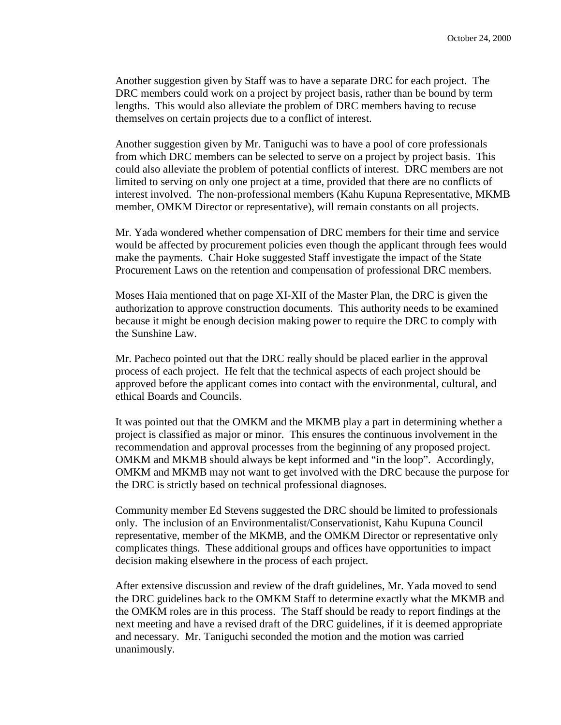Another suggestion given by Staff was to have a separate DRC for each project. The DRC members could work on a project by project basis, rather than be bound by term lengths. This would also alleviate the problem of DRC members having to recuse themselves on certain projects due to a conflict of interest.

Another suggestion given by Mr. Taniguchi was to have a pool of core professionals from which DRC members can be selected to serve on a project by project basis. This could also alleviate the problem of potential conflicts of interest. DRC members are not limited to serving on only one project at a time, provided that there are no conflicts of interest involved. The non-professional members (Kahu Kupuna Representative, MKMB member, OMKM Director or representative), will remain constants on all projects.

Mr. Yada wondered whether compensation of DRC members for their time and service would be affected by procurement policies even though the applicant through fees would make the payments. Chair Hoke suggested Staff investigate the impact of the State Procurement Laws on the retention and compensation of professional DRC members.

Moses Haia mentioned that on page XI-XII of the Master Plan, the DRC is given the authorization to approve construction documents. This authority needs to be examined because it might be enough decision making power to require the DRC to comply with the Sunshine Law.

Mr. Pacheco pointed out that the DRC really should be placed earlier in the approval process of each project. He felt that the technical aspects of each project should be approved before the applicant comes into contact with the environmental, cultural, and ethical Boards and Councils.

It was pointed out that the OMKM and the MKMB play a part in determining whether a project is classified as major or minor. This ensures the continuous involvement in the recommendation and approval processes from the beginning of any proposed project. OMKM and MKMB should always be kept informed and "in the loop". Accordingly, OMKM and MKMB may not want to get involved with the DRC because the purpose for the DRC is strictly based on technical professional diagnoses.

Community member Ed Stevens suggested the DRC should be limited to professionals only. The inclusion of an Environmentalist/Conservationist, Kahu Kupuna Council representative, member of the MKMB, and the OMKM Director or representative only complicates things. These additional groups and offices have opportunities to impact decision making elsewhere in the process of each project.

After extensive discussion and review of the draft guidelines, Mr. Yada moved to send the DRC guidelines back to the OMKM Staff to determine exactly what the MKMB and the OMKM roles are in this process. The Staff should be ready to report findings at the next meeting and have a revised draft of the DRC guidelines, if it is deemed appropriate and necessary. Mr. Taniguchi seconded the motion and the motion was carried unanimously.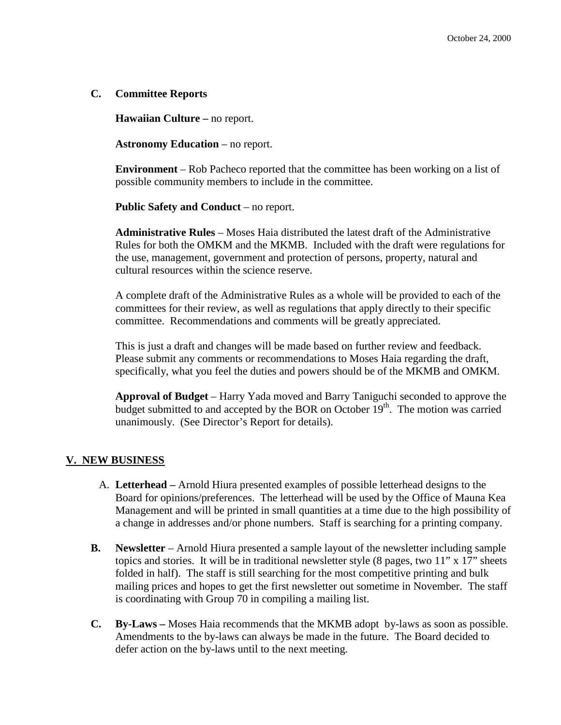### **C. Committee Reports**

**Hawaiian Culture –** no report.

**Astronomy Education** – no report.

**Environment** – Rob Pacheco reported that the committee has been working on a list of possible community members to include in the committee.

**Public Safety and Conduct** – no report.

**Administrative Rules** – Moses Haia distributed the latest draft of the Administrative Rules for both the OMKM and the MKMB. Included with the draft were regulations for the use, management, government and protection of persons, property, natural and cultural resources within the science reserve.

A complete draft of the Administrative Rules as a whole will be provided to each of the committees for their review, as well as regulations that apply directly to their specific committee. Recommendations and comments will be greatly appreciated.

This is just a draft and changes will be made based on further review and feedback. Please submit any comments or recommendations to Moses Haia regarding the draft, specifically, what you feel the duties and powers should be of the MKMB and OMKM.

**Approval of Budget** – Harry Yada moved and Barry Taniguchi seconded to approve the budget submitted to and accepted by the BOR on October  $19<sup>th</sup>$ . The motion was carried unanimously. (See Director's Report for details).

## **V. NEW BUSINESS**

- A. **Letterhead –** Arnold Hiura presented examples of possible letterhead designs to the Board for opinions/preferences.The letterhead will be used by the Office of Mauna Kea Management and will be printed in small quantities at a time due to the high possibility of a change in addresses and/or phone numbers. Staff is searching for a printing company.
- **B. Newsletter** Arnold Hiura presented a sample layout of the newsletter including sample topics and stories. It will be in traditional newsletter style  $(8 \text{ pages}, \text{two} 11 \text{''} \times 17 \text{''} \text{ sheets})$ folded in half). The staff is still searching for the most competitive printing and bulk mailing prices and hopes to get the first newsletter out sometime in November. The staff is coordinating with Group 70 in compiling a mailing list.
- **C. By-Laws –** Moses Haia recommends that the MKMB adopt by-laws as soon as possible. Amendments to the by-laws can always be made in the future. The Board decided to defer action on the by-laws until to the next meeting.